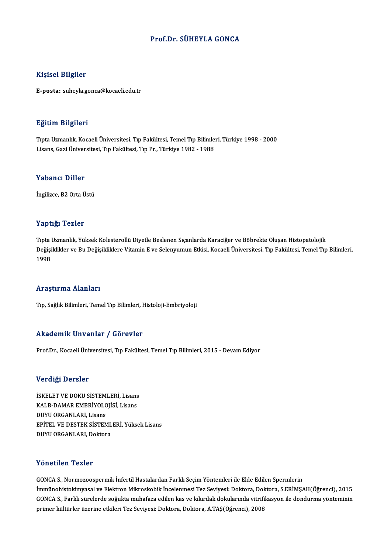# Prof.Dr. SÜHEYLA GONCA

### Kişisel Bilgiler

E-posta: suheyla.gonca@kocaeli.edu.tr

### Eğitim Bilgileri

E<mark>ğitim Bilgileri</mark><br>Tıpta Uzmanlık, Kocaeli Üniversitesi, Tıp Fakültesi, Temel Tıp Bilimleri, Türkiye 1998 - 2000<br>Lisans Cari Üniversitesi Tıp Fakültesi Tıp Pr. Türkiye 1982, 1988 Lisanan Dargarora<br>Tıpta Uzmanlık, Kocaeli Üniversitesi, Tıp Fakültesi, Temel Tıp Bilimle<br>Lisans, Gazi Üniversitesi, Tıp Fakültesi, Tıp Pr., Türkiye 1982 - 1988 Lisans, Gazi Üniversitesi, Tıp Fakültesi, Tıp Pr., Türkiye 1982 - 1988<br>Yabancı Diller

İngilizce, B2 Orta Üstü

### Yaptığı Tezler

Tıpta Uzmanlık, Yüksek Kolesterollü Diyetle Beslenen Sıçanlarda Karaciğer ve Böbrekte Oluşan Histopatolojik Tüptiği Temici<br>Tıpta Uzmanlık, Yüksek Kolesterollü Diyetle Beslenen Sıçanlarda Karaciğer ve Böbrekte Oluşan Histopatolojik<br>Değişiklikler ve Bu Değişikliklere Vitamin E ve Selenyumun Etkisi, Kocaeli Üniversitesi, Tıp Fakült Tıpta 1<br>Değişi<br>1998 Araştırma Alanları

Tıp, Sağlık Bilimleri, Temel Tıp Bilimleri, Histoloji-Embriyoloji

### Akademik Unvanlar / Görevler

Prof.Dr., Kocaeli Üniversitesi, Tıp Fakültesi, Temel Tıp Bilimleri, 2015 - Devam Ediyor

### Verdiği Dersler

İSKELET VE DOKU SİSTEMLERİ, Lisans YOLOLOZIOL<br>İSKELET VE DOKU SİSTEMLERİ, Lisans<br>KALB-DAMAR EMBRİYOLOJİSİ, Lisans<br>DIWU ORCANLARL Lisans ISKELET VE DOKU SISTEM<br>KALB-DAMAR EMBRIYOLC<br>DUYU ORGANLARI, Lisans<br>EPITEL VE DESTEK SISTEM KALB-DAMAR EMBRİYOLOJİSİ, Lisans<br>DUYU ORGANLARI, Lisans<br>EPİTEL VE DESTEK SİSTEMLERİ, Yüksek Lisans<br>DUYU OBCANLARI, Dektere DUYU ORGANLARI, Lisans<br>EPİTEL VE DESTEK SİSTEML<br>DUYU ORGANLARI, Doktora DUYU ORGANLARI, Doktora<br>Yönetilen Tezler

GONCAS.,NormozoospermikİnfertilHastalardanFarklıSeçimYöntemleri ileEldeEdilenSpermlerin İmmünohistokimyasal ve Elektron Mikroskobik İncelenmesi Tez Seviyesi: Doktora, Doktora, S.ERİMŞAH(Öğrenci), 2015 GONCA S., Farklı sürelerde soğukta muhafaza edilen kas ve kıkırdak dokularında vitrifikasyon ile dondurma yönteminin primer kültürler üzerine etkileri Tez Seviyesi: Doktora, Doktora, A.TAŞ(Öğrenci), 2008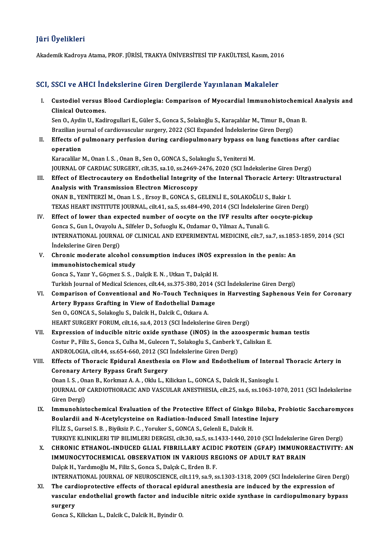# JüriÜyelikleri

Akademik Kadroya Atama, PROF. JÜRİSİ, TRAKYA ÜNİVERSİTESİ TIP FAKÜLTESİ, Kasım, 2016

# SCI, SSCI ve AHCI İndekslerine Giren Dergilerde Yayınlanan Makaleler

CI, SSCI ve AHCI İndekslerine Giren Dergilerde Yayınlanan Makaleler<br>I. Custodiol versus Blood Cardioplegia: Comparison of Myocardial Immunohistochemical Analysis and<br>Clinical Outcomes Custodiol versus B<br>Clinical Outcomes.<br>Sep 0. Aydip H, Kadi Custodiol versus Blood Cardioplegia: Comparison of Myocardial Immunohistochemic<br>Clinical Outcomes.<br>Sen O., Aydin U., Kadirogullari E., Güler S., Gonca S., Solakoğlu S., Karaçalılar M., Timur B., Onan B.<br>Presilien journal o

Clinical Outcomes.<br>Sen O., Aydin U., Kadirogullari E., Güler S., Gonca S., Solakoğlu S., Karaçalılar M., Timur B., Ona<br>Brazilian journal of cardiovascular surgery, 2022 (SCI Expanded İndekslerine Giren Dergi)<br>Effects of pu Sen O., Aydin U., Kadirogullari E., Güler S., Gonca S., Solakoğlu S., Karaçalılar M., Timur B., Onan B.<br>Brazilian journal of cardiovascular surgery, 2022 (SCI Expanded İndekslerine Giren Dergi)<br>II. Effects of pulmonary per

Brazilian jou<br>Effects of p<br>operation<br>Karacalilar l Effects of pulmonary perfusion during cardiopulmonary bypass on<br>operation<br>Karacalilar M., Onan I. S. , Onan B., Sen O., GONCA S., Solakoglu S., Yeniterzi M.<br>JOUPMAL OF GARDIAC SURCERY, silt 25, sp.10, sp.2469, 2476, 2020 (

operation<br>Karacalilar M., Onan I. S. , Onan B., Sen O., GONCA S., Solakoglu S., Yeniterzi M.<br>JOURNAL OF CARDIAC SURGERY, cilt.35, sa.10, ss.2469-2476, 2020 (SCI İndekslerine Giren Dergi)<br>Effect of Electrocautery on Endetho Karacalilar M., Onan I. S. , Onan B., Sen O., GONCA S., Solakoglu S., Yeniterzi M.<br>JOURNAL OF CARDIAC SURGERY, cilt.35, sa.10, ss.2469-2476, 2020 (SCI Indekslerine Giren Dergi)<br>III. Effect of Electrocautery on Endothelial

- JOURNAL OF CARDIAC SURGERY, cilt.35, sa.10, ss.2469-<br>Effect of Electrocautery on Endothelial Integrity<br>Analysis with Transmission Electron Microscopy<br>ONAN P. VENITERZI M. ORR J. S. FESSU B. CONCA S. 4 Effect of Electrocautery on Endothelial Integrity of the Internal Thoracic Artery<br>Analysis with Transmission Electron Microscopy<br>ONAN B., YENİTERZİ M., Onan I. S., Ersoy B., GONCA S., GELENLİ E., SOLAKOĞLU S., Bakir I.<br>TEV Analysis with Transmission Electron Microscopy<br>ONAN B., YENİTERZİ M., Onan I. S. , Ersoy B., GONCA S., GELENLİ E., SOLAKOĞLU S., Bakir I.<br>TEXAS HEART INSTITUTE JOURNAL, cilt.41, sa.5, ss.484-490, 2014 (SCI İndekslerine Gir ONAN B., YENİTERZİ M., Onan I. S., Ersoy B., GONCA S., GELENLİ E., SOLAKOĞLU S., Bakir I.<br>TEXAS HEART INSTITUTE JOURNAL, cilt.41, sa.5, ss.484-490, 2014 (SCI İndekslerine Giren Dergi)<br>IV. Effect of lower than expected numb
- TEXAS HEART INSTITUTE JOURNAL, cilt.41, sa.5, ss.484-490, 2014 (SCI İndekslerin<br>Effect of lower than expected number of oocyte on the IVF results after<br>Gonca S., Gun I., Ovayolu A., Silfeler D., Sofuoglu K., Ozdamar O., Yi INTERNATIONAL JOURNAL OF CLINICAL AND EXPERIMENTAL MEDICINE, cilt.7, sa.7, ss.1853-1859, 2014 (SCI<br>İndekslerine Giren Dergi) Gonca S., Gun I., Ovayolu A., Silfeler D., Sofuoglu K., Ozdamar O., Yilmaz A., Tunali G. INTERNATIONAL JOURNAL OF CLINICAL AND EXPERIMENTAL MEDICINE, cilt.7, sa.7, ss.1853<br>
indekslerine Giren Dergi)<br>
V. Chronic moderate alcohol consumption induces iNOS expression in the penis: An<br>
immunobiste chamical study
- Indekslerine Giren Dergi)<br>Chronic moderate alcohol co<br>immunohistochemical study<br>Conge S. Verun V. Cösmor S. S. J Chronic moderate alcohol consumption induces iNOS ex<br>immunohistochemical study<br>Gonca S., Yazır Y., Göçmez S. S. , Dalçik E. N. , Utkan T., Dalçıkl H.<br>Turkish Journal of Modisal Ssianses, silt 44, sa 375, 380, 3014 (S

immunohistochemical study<br>Gonca S., Yazır Y., Göçmez S. S. , Dalçik E. N. , Utkan T., Dalçıkl H.<br>Turkish Journal of Medical Sciences, cilt.44, ss.375-380, 2014 (SCI İndekslerine Giren Dergi)

- Gonca S., Yazır Y., Göçmez S. S. , Dalçik E. N. , Utkan T., Dalçıkl H.<br>Turkish Journal of Medical Sciences, cilt.44, ss.375-380, 2014 (SCI İndekslerine Giren Dergi)<br>VI. Comparison of Conventional and No-Touch Techniques in Turkish Journal of Medical Sciences, cilt.44, ss.375-380, 2014 (<br>Comparison of Conventional and No-Touch Techniques<br>Artery Bypass Grafting in View of Endothelial Damage<br>Sep O. CONCA S. Salakagly S. Dakil: H. Dakil: C. Orka Comparison of Conventional and No-Touch Techniqu<br>Artery Bypass Grafting in View of Endothelial Dama;<br>Sen O., GONCA S., Solakoglu S., Dalcik H., Dalcik C., Ozkara A.<br>HEAPT SUBCEPY FORUM cilt 16, so 4, 2012 (SCI Indeksleri) Artery Bypass Grafting in View of Endothelial Damage<br>Sen O., GONCA S., Solakoglu S., Dalcik H., Dalcik C., Ozkara A.<br>HEART SURGERY FORUM, cilt.16, sa.4, 2013 (SCI İndekslerine Giren Dergi)
- VII. Expression of inducible nitric oxide synthase (iNOS) in the azoospermic human testis HEART SURGERY FORUM, cilt.16, sa.4, 2013 (SCI İndekslerine Giren Dergi)<br>Expression of inducible nitric oxide synthase (iNOS) in the azoospermic l<br>Costur P., Filiz S., Gonca S., Culha M., Gulecen T., Solakoglu S., Canberk Y Expression of inducible nitric oxide synthase (iNOS) in the azd<br>Costur P., Filiz S., Gonca S., Culha M., Gulecen T., Solakoglu S., Canberk Y<br>ANDROLOGIA, cilt.44, ss.654-660, 2012 (SCI İndekslerine Giren Dergi)<br>Effects of T Costur P., Filiz S., Gonca S., Culha M., Gulecen T., Solakoglu S., Canberk Y., Caliskan E.<br>ANDROLOGIA, cilt.44, ss.654-660, 2012 (SCI İndekslerine Giren Dergi)<br>VIII. Effects of Thoracic Epidural Anesthesia on Flow and Endo
- ANDROLOGIA, cilt.44, ss.654-660, 2012 (SCI Indekslerine Giren Dergi)<br>Effects of Thoracic Epidural Anesthesia on Flow and Endothel<br>Coronary Artery Bypass Graft Surgery Effects of Thoracic Epidural Anesthesia on Flow and Endothelium of Internation<br>Coronary Artery Bypass Graft Surgery<br>Onan I. S. , Onan B., Korkmaz A. A. , Oklu L., Kilickan L., GONCA S., Dalcik H., Sanisoglu I.<br>JOUPMAL OF C JOURNAL OF CARDIOTHORACIC AND VASCULAR ANESTHESIA, cilt.25, sa.6, ss.1063-1070, 2011 (SCI İndekslerine<br>Giren Dergi) Onan I. S., Onan B., Korkmaz A. A., Oklu L., Kilickan L., GONCA S., Dalcik H., Sanisoglu I. IOURNAL OF CARDIOTHORACIC AND VASCULAR ANESTHESIA, cilt.25, sa.6, ss.1063-1070, 2011 (SCI İndekslerine<br>Giren Dergi)<br>IX. Immunohistochemical Evaluation of the Protective Effect of Ginkgo Biloba, Probiotic Saccharomyces<br>Boul
- Giren Dergi)<br>Immunohistochemical Evaluation of the Protective Effect of Ginkgo Biloba, I<br>Boulardii and N-Acetylcysteine on Radiation-Induced Small Intestine Injury<br>Fit iz S. Cureal S. B. Biriliair R.C. Verulier S. CONCA S. Boulardii and N-Acetylcysteine on Radiation-Induced Small Intestine Injury<br>FİLİZ S., Gursel S. B., Biyiksiz P. C., Yoruker S., GONCA S., Gelenli E., Dalcik H. TURKIYE KLINIKLERI TIP BILIMLERI DERGISI, cilt.30, sa.5, ss.1433-1440, 2010 (SCI İndekslerine Giren Dergi) FİLİZ S., Gursel S. B. , Biyiksiz P. C. , Yoruker S., GONCA S., Gelenli E., Dalcik H.<br>TURKIYE KLINIKLERI TIP BILIMLERI DERGISI, cilt.30, sa.5, ss.1433-1440, 2010 (SCI İndekslerine Giren Dergi)<br>X. CHRONIC ETHANOL-INDUCED GL
- TURKIYE KLINIKLERI TIP BILIMLERI DERGISI, cilt.30, sa.5, ss.1433-1440, 2010 (SCI İndekslerine<br>CHRONIC ETHANOL-INDUCED GLIAL FIBRILLARY ACIDIC PROTEIN (GFAP) IMMUNOR<br>IMMUNOCYTOCHEMICAL OBSERVATION IN VARIOUS REGIONS OF ADUL CHRONIC ETHANOL-INDUCED GLIAL FIBRILLARY ACID.<br>IMMUNOCYTOCHEMICAL OBSERVATION IN VARIOUS RE<br>Dalçık H., Yardımoğlu M., Filiz S., Gonca S., Dalçık C., Erden B. F.<br>INTERNATIONAL JOURNAL OF NEUROSCIENCE gilt 119.53.9.9. IMMUNOCYTOCHEMICAL OBSERVATION IN VARIOUS REGIONS OF ADULT RAT BRAIN<br>Dalçık H., Yardımoğlu M., Filiz S., Gonca S., Dalçık C., Erden B. F.<br>INTERNATIONAL JOURNAL OF NEUROSCIENCE, cilt.119, sa.9, ss.1303-1318, 2009 (SCI İndek Dalçık H., Yardımoğlu M., Filiz S., Gonca S., Dalçık C., Erden B. F.<br>INTERNATIONAL JOURNAL OF NEUROSCIENCE, cilt.119, sa.9, ss.1303-1318, 2009 (SCI İndekslerine Giren D.<br>XI. The cardioprotective effects of thoracal epidura
- INTERNATIONAL JOURNAL OF NEUROSCIENCE, cilt.119, sa.9, ss.1303-1318, 2009 (SCI İndekslerine Giren Dergi)<br>The cardioprotective effects of thoracal epidural anesthesia are induced by the expression of<br>vascular endothelial gr XI. The cardioprotective effects of thoracal epidural anesthesia are induced by the expression of<br>vascular endothelial growth factor and inducible nitric oxide synthase in cardiopulmonary by<br>surgery<br>Gonca S., Kilickan L., vascular endothelial growth factor and inducible nitric oxide synthase in cardiopulmonary bypass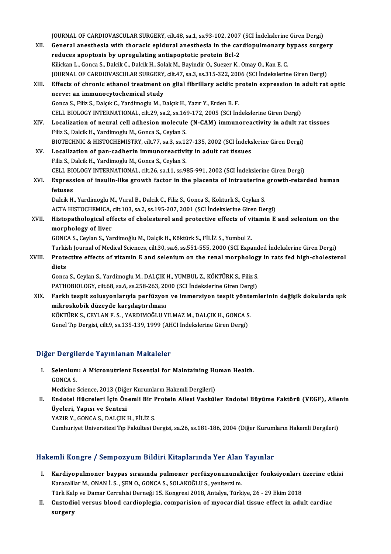JOURNAL OF CARDIOVASCULAR SURGERY, cilt.48, sa.1, ss.93-102, 2007 (SCI İndekslerine Giren Dergi)<br>Canaral anasthasia with thanasia anidural anasthasia in the sandianulmanary bunasa surge

JOURNAL OF CARDIOVASCULAR SURGERY, cilt.48, sa.1, ss.93-102, 2007 (SCI İndekslerine Giren Dergi)<br>XII. General anesthesia with thoracic epidural anesthesia in the cardiopulmonary bypass surgery JOURNAL OF CARDIOVASCULAR SURGERY, cilt.48, sa.1, ss.93-102, 2007<br>General anesthesia with thoracic epidural anesthesia in the car<br>reduces apoptosis by upregulating antiapoptotic protein Bcl-2<br>Wikken L. Conse S. Dakik G. Da General anesthesia with thoracic epidural anesthesia in the cardiopulmonary bypass surgery<br>reduces apoptosis by upregulating antiapoptotic protein Bcl-2<br>Kilickan L., Gonca S., Dalcik C., Dalcik H., Solak M., Bayindir O., S reduces apoptosis by upregulating antiapoptotic protein Bcl-2<br>Kilickan L., Gonca S., Dalcik C., Dalcik H., Solak M., Bayindir O., Suezer K., Omay O., Kan E. C.<br>JOURNAL OF CARDIOVASCULAR SURGERY, cilt.47, sa.3, ss.315-322, Kilickan L., Gonca S., Dalcik C., Dalcik H., Solak M., Bayindir O., Suezer K., Omay O., Kan E. C.<br>JOURNAL OF CARDIOVASCULAR SURGERY, cilt47, sa.3, ss.315-322, 2006 (SCI İndekslerine Giren Dergi)<br>XIII. Effects of chronic et JOURNAL OF CARDIOVASCULAR SURGERY<br>Effects of chronic ethanol treatment control of the method of the study<br>Conce S. Filiz S. Dalcik C. Yardimeglu M. F Effects of chronic ethanol treatment on glial fibrillary acidic proversion at immunocytochemical study<br>Gonca S., Filiz S., Dalçık C., Yardimoglu M., Dalçık H., Yazır Y., Erden B. F.<br>CELL RIOLOCY INTERNATIONAL silt 29, 82,2 nerve: an immunocytochemical study<br>Gonca S., Filiz S., Dalçık C., Yardimoglu M., Dalçık H., Yazır Y., Erden B. F.<br>CELL BIOLOGY INTERNATIONAL, cilt.29, sa.2, ss.169-172, 2005 (SCI İndekslerine Giren Dergi) Gonca S., Filiz S., Dalçık C., Yardimoglu M., Dalçık H., Yazır Y., Erden B. F.<br>CELL BIOLOGY INTERNATIONAL, cilt.29, sa.2, ss.169-172, 2005 (SCI İndekslerine Giren Dergi)<br>XIV. Localization of neural cell adhesion molecu CELL BIOLOGY INTERNATIONAL, cilt.29, sa.2, ss.16<br>Localization of neural cell adhesion molecule<br>Filiz S., Dalcik H., Yardimoglu M., Gonca S., Ceylan S.<br>PIOTECHNIC & HISTOCHEMISTPV, silt 77, ss.2, ss.17 Localization of neural cell adhesion molecule (N-CAM) immunoreactivity in adult ra<br>Filiz S., Dalcik H., Yardimoglu M., Gonca S., Ceylan S.<br>BIOTECHNIC & HISTOCHEMISTRY, cilt.77, sa.3, ss.127-135, 2002 (SCI İndekslerine Gire Filiz S., Dalcik H., Yardimoglu M., Gonca S., Ceylan S.<br>BIOTECHNIC & HISTOCHEMISTRY, cilt.77, sa.3, ss.127-135, 2002 (SCI İndekslerine Giren Dergi)<br>XV. Localization of pan-cadherin immunoreactivity in adult rat tissues Filiz S.,DalcikH.,YardimogluM.,Gonca S.,CeylanS. Localization of pan-cadherin immunoreactivity in adult rat tissues<br>Filiz S., Dalcik H., Yardimoglu M., Gonca S., Ceylan S.<br>CELL BIOLOGY INTERNATIONAL, cilt.26, sa.11, ss.985-991, 2002 (SCI İndekslerine Giren Dergi)<br>Eunness XVI. Expression of insulin-like growth factor in the placenta of intrauterine growth-retarded human CELL BI<mark><br>Express</mark><br>fetuses<br><sup>Deleik H</sub></sup> Expression of insulin-like growth factor in the placenta of intrauterine<br>fetuses<br>Dalcik H., Yardimoglu M., Vural B., Dalcik C., Filiz S., Gonca S., Kokturk S., Ceylan S.<br>ACTA HISTOCHEMICA, silt 193, sa 3, sa 195, 397, 3991 fetuses<br>Dalcik H., Yardimoglu M., Vural B., Dalcik C., Filiz S., Gonca S., Kokturk S., Ceylan S.<br>ACTA HISTOCHEMICA, cilt.103, sa.2, ss.195-207, 2001 (SCI İndekslerine Giren Dergi)<br>Histopathalogisal offesta of shalostaral a Dalcik H., Yardimoglu M., Vural B., Dalcik C., Filiz S., Gonca S., Kokturk S., Ceylan S.<br>ACTA HISTOCHEMICA, cilt.103, sa.2, ss.195-207, 2001 (SCI İndekslerine Giren Dergi)<br>XVII. Histopathological effects of cholesterol and ACTA HISTOCHEMICA, cilt.103, sa.2, ss.195-207, 2001 (SCI İndekslerine Giren Dergi)<br>Histopathological effects of cholesterol and protective effects of vitamin E<br>morphology of liver<br>GONCA S., Ceylan S., Yardimoğlu M., Dalçik Histopathological effects of cholesterol and protective effects of vi<br>morphology of liver<br>GONCA S., Ceylan S., Yardimoğlu M., Dalçik H., Köktürk S., FİLİZ S., Yumbul Z.<br>Turkich Journal of Modical Sciences, silt 30, sa 6, s <mark>morphology of liver</mark><br>GONCA S., Ceylan S., Yardimoğlu M., Dalçik H., Köktürk S., FİLİZ S., Yumbul Z.<br>Turkish Journal of Medical Sciences, cilt.30, sa.6, ss.551-555, 2000 (SCI Expanded İndekslerine Giren Dergi)<br>Protestive e GONCA S., Ceylan S., Yardimoğlu M., Dalçik H., Köktürk S., FİLİZ S., Yumbul Z.<br>Turkish Journal of Medical Sciences, cilt.30, sa.6, ss.551-555, 2000 (SCI Expanded İndekslerine Giren Dergi)<br>XVIII. Protective effects of vitam Turkis<br>Prote<br>diets<br>Canca Protective effects of vitamin E and selenium on the renal morphology<br>diets<br>Gonca S., Ceylan S., Yardimoglu M., DALÇIK H., YUMBUL Z., KÖKTÜRK S., Filiz S.<br>PATHOPIOLOCY silt 69 se 6 se 259 262 2000 (SCL Indekslerine Giren De diets<br>Gonca S., Ceylan S., Yardimoglu M., DALÇIK H., YUMBUL Z., KÖKTÜRK S., Filiz S.<br>PATHOBIOLOGY, cilt.68, sa.6, ss.258-263, 2000 (SCI İndekslerine Giren Dergi) Gonca S., Ceylan S., Yardimoglu M., DALÇIK H., YUMBUL Z., KÖKTÜRK S., Filiz S.<br>PATHOBIOLOGY, cilt.68, sa.6, ss.258-263, 2000 (SCI İndekslerine Giren Dergi)<br>XIX. Farklı tespit solusyonlarıyla perfüzyon ve immersiyon tes mikroskobik düzeyde karşılaştırılması Farklı tespit solusyonlarıyla perfüzyon ve immersiyon tespit yönte<br>mikroskobik düzeyde karşılaştırılması<br>KÖKTÜRK S., CEYLAN F. S. , YARDIMOĞLU YILMAZ M., DALÇIK H., GONCA S.<br>Cenel Tıp Dergisi silt 9, ss 125, 129, 1999 (AHC KÖKTÜRK S., CEYLAN F. S. , YARDIMOĞLU YILMAZ M., DALÇIK H., GONCA S.<br>Genel Tıp Dergisi, cilt.9, ss.135-139, 1999 (AHCI İndekslerine Giren Dergi)

# Diğer Dergilerde Yayınlanan Makaleler

iğer Dergilerde Yayınlanan Makaleler<br>I. Selenium: A Micronutrient Essential for Maintaining Human Health.<br>CONCA S Selenium<br>GONCA S.<br>Modicine Selenium: A Micronutrient Essential for Maintaining Hu<br>GONCA S.<br>Medicine Science, 2013 (Diğer Kurumların Hakemli Dergileri)<br>Endatel Hüsroleri İsin Önemli Bir Bratein Ailesi Veskül

GONCA S.<br>Medicine Science, 2013 (Diğer Kurumların Hakemli Dergileri)<br>II. Endotel Hücreleri İçin Önemli Bir Protein Ailesi Vasküler Endotel Büyüme Faktörü (VEGF), Ailenin<br>İlveleri Yanısı ve Sentegi Medicine Science, 2013 (Diğe<br>Endotel Hücreleri İçin Ön<br>Üyeleri, Yapısı ve Sentezi<br>YAZIB V. CONCA S. DALCIK Endotel Hücreleri İçin Önemli Bir F<br>Üyeleri, Yapısı ve Sentezi<br>YAZIR Y., GONCA S., DALÇIK H., FİLİZ S.<br>Cumburiyet Üniversitesi Tın Felsültesi D **Üyeleri, Yapısı ve Sentezi**<br>YAZIR Y., GONCA S., DALÇIK H., FİLİZ S.<br>Cumhuriyet Üniversitesi Tıp Fakültesi Dergisi, sa.26, ss.181-186, 2004 (Diğer Kurumların Hakemli Dergileri)

# Hakemli Kongre / Sempozyum Bildiri Kitaplarında Yer Alan Yayınlar

- akemli Kongre / Sempozyum Bildiri Kitaplarında Yer Alan Yayınlar<br>I. Kardiyopulmoner baypas sırasında pulmoner perfüzyonununakciğer fonksiyonları üzerine etkisi<br>Karasalilar M. ONAN İ.S. SEN O. CONCA S. SOLAKOĞLUS, venitersi Kardiyopulmoner baypas sırasında pulmoner perfüzyonununak<br>Karacalilar M., ONAN İ. S. , ŞEN O., GONCA S., SOLAKOĞLU S., yeniterzi m.<br>Türk Keln ve Demer Cerrebisi Derneği 15. Kongresi 2018. Artekve Türk Kardiyopulmoner baypas sırasında pulmoner perfüzyonununakciğer fonksiyonları (Karacalilar M., ONAN İ. S. , ŞEN O., GONCA S., SOLAKOĞLU S., yeniterzi m.<br>Türk Kalp ve Damar Cerrahisi Derneği 15. Kongresi 2018, Antalya, Türki Türk Kalp ve Damar Cerrahisi Derneği 15. Kongresi 2018, Antalya, Türkiye, 26 - 29 Ekim 2018
- Karacalilar M., ONAN İ. S. , ŞEN O., GONCA S., SOLAKOĞLU S., yeniterzi m.<br>Türk Kalp ve Damar Cerrahisi Derneği 15. Kongresi 2018, Antalya, Türkiye, 26 29 Ekim 2018<br>II. Custodiol versus blood cardioplegia, comparision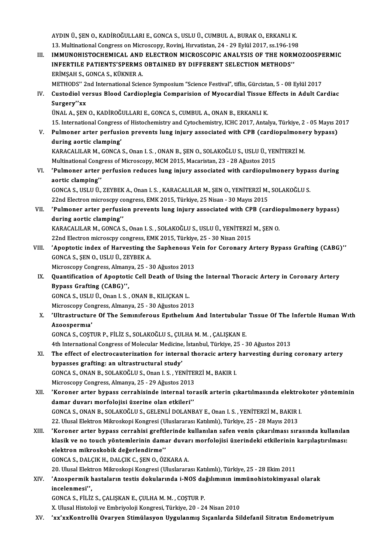AYDINÜ.,ŞENO.,KADİROĞULLARIE.,GONCAS.,USLUÜ.,CUMBULA.,BURAKO.,ERKANLIK. AYDIN Ü., ŞEN O., KADİROĞULLARI E., GONCA S., USLU Ü., CUMBUL A., BURAK O., ERKANLI K.<br>13. Multinational Congress on Microscopy, Rovinj, Hırvatistan, 24 - 29 Eylül 2017, ss.196-198<br>IMMUNOHISTOCHEMICAL, AND ELECTRON MICROSC

III. IMMUNOHISTOCHEMICAL AND ELECTRON MICROSCOPIC ANALYSIS OF THE NORMOZOOSPERMIC<br>INFERTILE PATIENTS'SPERMS OBTAINED BY DIFFERENT SELECTION METHODS'' 13. Multinational Congress on Microscopy, Rovinj, Hırvatistan, 24 - 29 Eylül 2017, ss.196-19<br>IMMUNOHISTOCHEMICAL AND ELECTRON MICROSCOPIC ANALYSIS OF THE NOR.<br>INFERTILE PATIENTS'SPERMS OBTAINED BY DIFFERENT SELECTION METHO ERİMŞAHS.,GONCAS.,KÜKNERA. METHODS" 2nd International Science Symposium "Science Festival", tiflis, Gürcistan, 5 - 08 Eylül 2017 ERİMŞAH S., GONCA S., KÜKNER A.<br>METHODS'' 2nd International Science Symposium "Science Festival", tiflis, Gürcistan, 5 - 08 Eylül 2017<br>IV. Custodiol versus Blood Cardioplegia Comparision of Myocardial Tissue Effects in METHODS" 2<br>Custodiol ve<br>Surgery"xx<br><sup>TIMAL A</sup> SEN Custodiol versus Blood Cardioplegia Comparision of Myocardial Tissue<br>Surgery''xx<br>ÜNAL A., ŞEN O., KADİROĞULLARI E., GONCA S., CUMBUL A., ONAN B., ERKANLI K.<br>15. International Congress of Histoshomistry and Cytoshomistry, I Surgery''xx<br>ÜNAL A., ŞEN O., KADİROĞULLARI E., GONCA S., CUMBUL A., ONAN B., ERKANLI K.<br>15. International Congress of Histochemistry and Cytochemistry, ICHC 2017, Antalya, Türkiye, 2 - 05 Mayıs 2017 UNAL A., ȘEN O., KADIROĞULLARI E., GONCA S., CUMBUL A., ONAN B., ERKANLI K.<br>15. International Congress of Histochemistry and Cytochemistry, ICHC 2017, Antalya, Türkiye, 2 - 05 Mayıs 2<br>1. Pulmoner arter perfusion prevents l 15. International Congress<br>Pulmoner arter perfusid<br>during aortic clamping'<br>KARACALUAR M. CONCA Pulmoner arter perfusion prevents lung injury associated with CPB (cardiopulmone<br>during aortic clamping'<br>KARACALILAR M., GONCA S., Onan I. S. , ONAN B., ŞEN O., SOLAKOĞLU S., USLU Ü., YENİTERZİ M.<br>Multinational Congress of during aortic clamping'<br>KARACALILAR M., GONCA S., Onan I. S. , ONAN B., ŞEN O., SOLAKOĞLU S., USLU Ü., YEN<br>Multinational Congress of Microscopy, MCM 2015, Macaristan, 23 - 28 Ağustos 2015<br>'Pulmonen erter perfusion reduces KARACALILAR M., GONCA S., Onan I. S. , ONAN B., ŞEN O., SOLAKOĞLU S., USLU Ü., YENİTERZİ M.<br>Multinational Congress of Microscopy, MCM 2015, Macaristan, 23 - 28 Ağustos 2015<br>VI. Yulmoner arter perfusion reduces lung injury Multinational Cong<br>'Pulmoner arter<br>aortic clamping'<br>CONCA S. USLU Ü 'Pulmoner arter perfusion reduces lung injury associated with cardiopulmonery bypa<br>aortic clamping''<br>GONCA S., USLU Ü., ZEYBEK A., Onan I. S., KARACALILAR M., ŞEN O., YENİTERZİ M., SOLAKOĞLU S.<br>22nd Electron microscru cong aortic clamping''<br>GONCA S., USLU Ü., ZEYBEK A., Onan I. S. , KARACALILAR M., ŞEN O., YENİTERZİ M., SOLAKOĞLU S.<br>22nd Electron microscpy congress, EMK 2015, Türkiye, 25 Nisan - 30 Mayıs 2015 GONCA S., USLU Ü., ZEYBEK A., Onan I. S. , KARACALILAR M., ŞEN O., YENİTERZİ M., SOLAKOĞLU S.<br>22nd Electron microscpy congress, EMK 2015, Türkiye, 25 Nisan - 30 Mayıs 2015<br>VII. 'Pulmoner arter perfusion prevents lung i 22nd Electron microscpy c<br>'Pulmoner arter perfus:<br>during aortic clamping'<br>KARACALUAR M. CONCA 'Pulmoner arter perfusion prevents lung injury associated with CPB (cardio<br>during aortic clamping''<br>KARACALILAR M., GONCA S., Onan I. S. , SOLAKOĞLU S., USLU Ü., YENİTERZİ M., ŞEN O.<br>22nd Electron microscny congress. EMK 2 during aortic clamping''<br>KARACALILAR M., GONCA S., Onan I. S. , SOLAKOĞLU S., USLU Ü., YENİTERZİ M., ŞEN O.<br>22nd Electron microscpy congress, EMK 2015, Türkiye, 25 - 30 Nisan 2015 KARACALILAR M., GONCA S., Onan I. S. , SOLAKOĞLU S., USLU Ü., YENİTERZİ M., ŞEN O.<br>22nd Electron microscpy congress, EMK 2015, Türkiye, 25 - 30 Nisan 2015<br>VIII. 'Apoptotic index of Harvesting the Saphenous Vein for Cor 22nd Electron microscpy congress, EN<br> **Apoptotic index of Harvesting th**<br>
GONCA S., ŞEN O., USLU Ü., ZEYBEK A.<br>
Microscony Congress, Almanya, 25, 2 Apoptotic index of Harvesting the Saphenous V<br>GONCA S., ŞEN O., USLU Ü., ZEYBEK A.<br>Microscopy Congress, Almanya, 25 - 30 Ağustos 2013<br>Quantification of Apontatic Cell Death of Heing t GONCA S., ŞEN O., USLU Ü., ZEYBEK A.<br>Microscopy Congress, Almanya, 25 - 30 Ağustos 2013<br>IX. Quantification of Apoptotic Cell Death of Using the Internal Thoracic Artery in Coronary Artery<br>Puness Crafting (CARC)'' Microscopy Congress, Almany<br>Quantification of Apoptoti<br>Bypass Grafting (CABG)'',<br>CONGA S, USLU Ü. Opan L.S. Quantification of Apoptotic Cell Death of Using<br>Bypass Grafting (CABG)'',<br>GONCA S., USLU Ü., Onan I. S., ONAN B., KILIÇKAN L.<br>Misrossony Constress Almanya 25 - 20 Ağustos 201 Bypass Grafting (CABG)'',<br>GONCA S., USLU Ü., Onan I. S. , ONAN B., KILIÇKAN L.<br>Microscopy Congress, Almanya, 25 - 30 Ağustos 2013<br>'Ultrestrusture Of The Semunfereus Enthelum GONCA S., USLU Ü., Onan I. S. , ONAN B., KILIÇKAN L.<br>Microscopy Congress, Almanya, 25 - 30 Ağustos 2013<br>X. 'Ultrastructure Of The Seminiferous Epithelium And Intertubular Tissue Of The Infertile Human With<br>Azoospermia' Microscopy Cor<br>'Ultrastructur<br>Azoospermıa'<br>CONCA S. COST GONCAS.,COŞTURP.,FİLİZ S.,SOLAKOĞLUS.,ÇULHAM.M. ,ÇALIŞKANE. 4th International Congress of Molecular Medicine, İstanbul, Türkiye, 25 - 30 Ağustos 2013 GONCA S., COŞTUR P., FİLİZ S., SOLAKOĞLU S., ÇULHA M. M. , ÇALIŞKAN E.<br>4th International Congress of Molecular Medicine, İstanbul, Türkiye, 25 - 30 Ağustos 2013<br>XI. The effect of electrocauterization for internal thoracic bypasses grafting: an ultrastructural study' The effect of electrocauterization for internal thoracic artery<br>bypasses grafting: an ultrastructural study'<br>GONCA S., ONAN B., SOLAKOĞLU S., Onan I. S. , YENİTERZİ M., BAKIR I.<br>Missessony Congress, Almanya 25, 20 Ağustos GONCA S., ONAN B., SOLAKOĞLU S., Onan I. S., YENİTERZİ M., BAKIR I.<br>Microscopy Congress, Almanya, 25 - 29 Ağustos 2013 GONCA S., ONAN B., SOLAKOĞLU S., Onan I. S. , YENİTERZİ M., BAKIR I.<br>Microscopy Congress, Almanya, 25 - 29 Ağustos 2013<br>XII. 'Koroner arter bypass cerrahisinde internal torasik arterin çıkartılmasında elektrokoter yönt Microscopy Congress, Almanya, 25 - 29 Ağustos 2013<br>'Koroner arter bypass cerrahisinde internal to<br>damar duvarı morfolojisi üzerine olan etkileri'<br>CONGA S. ONAN B. SOLAKOĞLUS, CELENLİ DOLANI 'Koroner arter bypass cerrahisinde internal torasik arterin çıkartılmasında elektro<br>damar duvarı morfolojisi üzerine olan etkileri''<br>GONCA S., ONAN B., SOLAKOĞLU S., GELENLİ DOLANBAY E., Onan I. S. , YENİTERZİ M., BAKIR I. damar duvarı morfolojisi üzerine olan etkileri''<br>GONCA S., ONAN B., SOLAKOĞLU S., GELENLİ DOLANBAY E., Onan I. S. , YENİTERZİ M., BAKIR I.<br>22. Ulusal Elektron Mikroskopi Kongresi (Uluslararası Katılımlı), Türkiye, 25 - 28 XIII. 'Koroner arter bypass cerrahisi greftlerinde kullanılan safen venin çıkarılması sırasında kullanılan 22. Ulusal Elektron Mikroskopi Kongresi (Uluslararası Katılımlı), Türkiye, 25 - 28 Mayıs 2013<br>'Koroner arter bypass cerrahisi greftlerinde kullanılan safen venin çıkarılması sırasında kullanılar<br>klasik ve no touch yöntemle 'Koroner arter bypass cerrahisi greft<br>klasik ve no touch yöntemlerinin dam<br>elektron mikroskobik değerlendirme'<br>CONCA S. DALCIK H. DALCIK C. SEN O. Ö' klasik ve no touch yöntemlerinin damar duvar<br>elektron mikroskobik değerlendirme''<br>GONCA S., DALÇIK H., DALÇIK C., ŞEN O., ÖZKARA A.<br>20 Ulucal Elektron Milmeskopi Kongresi (Uluslarare elektron mikroskobik değerlendirme''<br>GONCA S., DALÇIK H., DALÇIK C., ŞEN O., ÖZKARA A.<br>20. Ulusal Elektron Mikroskopi Kongresi (Uluslararası Katılımlı), Türkiye, 25 - 28 Ekim 2011 GONCA S., DALÇIK H., DALÇIK C., ŞEN O., ÖZKARA A.<br>20. Ulusal Elektron Mikroskopi Kongresi (Uluslararası Katılımlı), Türkiye, 25 - 28 Ekim 2011<br>XIV. 'Azospermik hastaların testis dokularında i-NOS dağılımının immünohist

# 20. Ulusal Elekt<br>'Azospermik ł<br>incelenmesi'',<br>CONCA S. Eli iz 'Azospermik hastaların testis dokularında i-NOS da<br>incelenmesi'',<br>GONCA S., FİLİZ S., ÇALIŞKAN E., ÇULHA M. M. , COŞTUR P.<br>Y. Ulucel Histolaji ve Embriyalaji Kansresi Türkiye 20, 24 incelenmesi'',<br>GONCA S., FİLİZ S., ÇALIŞKAN E., ÇULHA M. M. , COŞTUR P.<br>X. Ulusal Histoloji ve Embriyoloji Kongresi, Türkiye, 20 - 24 Nisan 2010

XV. 'xx'xxKontrollü Ovaryen Stimülasyon Uygulanmış Sıçanlarda Sildefanil Sitratın Endometriyum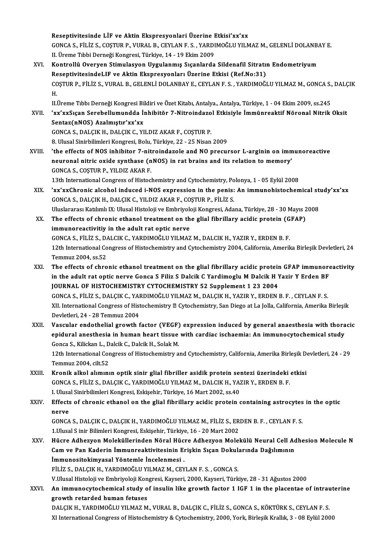Reseptivitesinde LİF ve Aktin Ekspresyonlari Üzerine Etkisi'xx'xx<br>CONCA S. Filiz S. COSTUP P. VUPAL B. CEVLAN E.S., VAPDIMOČLU VU N Reseptivitesinde LİF ve Aktin Ekspresyonlari Üzerine Etkisi'xx'xx<br>GONCA S., FİLİZ S., COŞTUR P., VURAL B., CEYLAN F. S. , YARDIMOĞLU YILMAZ M., GELENLİ DOLANBAY E.<br>U. Ürama Tıbbi Darnaği Kangrasi Türkiye 14, 19 Ekim 2009 Reseptivitesinde LİF ve Aktin Ekspresyonlari Üzerine I<br>GONCA S., FİLİZ S., COŞTUR P., VURAL B., CEYLAN F. S. , YARDI<br>II. Üreme Tıbbi Derneği Kongresi, Türkiye, 14 - 19 Ekim 2009<br>Kontrallü Overven Stimulasyon Hygulanmış Sıs GONCA S., FİLİZ S., COŞTUR P., VURAL B., CEYLAN F. S. , YARDIMOĞLU YILMAZ M., GELENLİ DOLANB.<br>II. Üreme Tıbbi Derneği Kongresi, Türkiye, 14 - 19 Ekim 2009<br>XVI. Kontrollü Overyen Stimulasyon Uygulanmış Sıçanlarda Sildenafil II. Üreme Tıbbi Derneği Kongresi, Türkiye, 14 - 19 Ekim 2009<br>Kontrollü Overyen Stimulasyon Uygulanmış Sıçanlarda Sildenafil Sitratın Endometriyum<br>ReseptivitesindeLIF ve Aktin Ekspresyonları Üzerine Etkisi (Ref.No:31) Kontrollü Overyen Stimulasyon Uygulanmış Sıçanlarda Sildenafil Sitratın Endometriyum<br>ReseptivitesindeLIF ve Aktin Ekspresyonları Üzerine Etkisi (Ref.No:31)<br>COŞTUR P., FİLİZ S., VURAL B., GELENLİ DOLANBAY E., CEYLAN F. S. ,

Re<br>CC<br>H. COŞTUR P., FİLİZ S., VURAL B., GELENLİ DOLANBAY E., CEYLAN F. S. , YARDIMOĞLU YILMAZ M., GONCA S.,<br>H.<br>II.Üreme Tıbbı Derneği Kongresi Bildiri ve Özet Kitabı, Antalya, Antalya, Türkiye, 1 - 04 Ekim 2009, ss.245<br>'YY'YYSIGAR

H.<br>II.Üreme Tıbbı Derneği Kongresi Bildiri ve Özet Kitabı, Antalya., Antalya, Türkiye, 1 - 04 Ekim 2009, ss.245<br>XVII. 'xx'xxSıçan Serebellumundda İnhibitör 7-Nitroindazol Etkisiyle İmmünreaktif Nöronal Nitrik Oksit<br>Sen II.Üreme Tıbbı Derneği Kongresi Bildiri ve Özet Kitabı, Antalya, Antalya, Türkiye, 1 - 04 Ekim 2009, ss.245<br>'xx'xxSıçan Serebellumundda İnhibitör 7-Nitroindazol Etkisiyle İmmünreaktif Nöronal Nitrik<br>Sentaz(nNOS) Azalmıştır

'xx'xxSıçan Serebellumundda İnhibitör 7-Nitroindazo<br>Sentaz(nNOS) Azalmıştır'xx'xx<br>GONCA S., DALÇIK H., DALÇIK C., YILDIZ AKAR F., COŞTUR P.<br>8. Hlucel Sinirbilimleri Kongresi, Bolu Türkiye 22, 25 Nisan 8. Ulusal Sinirbilimleri Kongresi, Bolu, Türkiye, 22 - 25 Nisan 2009

XVIII. 'the effects of NOS inhibitor 7-nitroindazole and NO precursor L-arginin on immunoreactive 8. Ulusal Sinirbilimleri Kongresi, Bolu, Türkiye, 22 - 25 Nisan 2009<br>'the effects of NOS inhibitor 7-nitroindazole and NO precursor L-arginin on imm<br>neuronal nitric oxide synthase (nNOS) in rat brains and its relation to m GONCA S., COŞTUR P., YILDIZ AKAR F. neuronal nitric oxide synthase (nNOS) in rat brains and its relation to memory'<br>GONCA S., COŞTUR P., YILDIZ AKAR F.<br>13th International Congress of Histochemistry and Cytochemistry, Polonya, 1 - 05 Eylül 2008<br>'wy'wyChronic

13th International Congress of Histochemistry and Cytochemistry, Polonya, 1 - 05 Eylül 2008

XIX. 'xx'xxChronic alcohol induced i-NOS expression in the penis: An immunohistochemical study'xx'xx 'xx'xxChronic alcohol induced i-NOS expression in the penis: An immunohistochemical st:<br>GONCA S., DALÇIK H., DALÇIK C., YILDIZ AKAR F., COŞTUR P., FİLİZ S.<br>Uluslararası Katılımlı IX: Ulusal Histoloji ve Embriyoloji Kongres

GONCA S., DALÇIK H., DALÇIK C., YILDIZ AKAR F., COŞTUR P., FİLİZ S.<br>Uluslararası Katılımlı IX: Ulusal Histoloji ve Embriyoloji Kongresi, Adana, Türkiye, 28 - 30 Mayıs 2<br>XX. The effects of chronic ethanol treatment on the g Uluslararası Katılımlı IX: Ulusal Histoloji ve Embriyolo<br>The effects of chronic ethanol treatment on the<br>immunoreactivitiy in the adult rat optic nerve<br>CONGA S. Fil iz S. DALGIK G. MARDIMOČLU VILMAZ The effects of chronic ethanol treatment on the glial fibrillary acidic protein (G<br>immunoreactivitiy in the adult rat optic nerve<br>GONCA S., FİLİZ S., DALCIK C., YARDIMOĞLU YILMAZ M., DALCIK H., YAZIR Y., ERDEN B. F.<br>12th I immunoreactivitiy in the adult rat optic nerve<br>GONCA S., FİLİZ S., DALCIK C., YARDIMOĞLU YILMAZ M., DALCIK H., YAZIR Y., ERDEN B. F.<br>12th International Congress of Histochemistry and Cytochemistry 2004, California, Amerika GONCA S., FILIZ S., DA<br>12th International Co<br>Temmuz 2004, ss.52<br>The effects of shre 12th International Congress of Histochemistry and Cytochemistry 2004, California, Amerika Birleşik Devletleri, 24<br>Temmuz 2004, ss.52<br>XXI. The effects of chronic ethanol treatment on the glial fibrillary acidic protein GFAP

- Temmuz 2004, ss.52<br>The effects of chronic ethanol treatment on the glial fibrillary acidic protein GFAP immunore<br>in the adult rat optic nerve Gonca S Filiz S Dalcik C Yardimoglu M Dalcik H Yazir Y Erden BF<br>JOUPNAL OF HISTO The effects of chronic ethanol treatment on the glial fibrillary acidic protein<br>in the adult rat optic nerve Gonca S Filiz S Dalcik C Yardimoglu M Dalcik H ነ<br>JOURNAL OF HISTOCHEMISTRY CYTOCHEMISTRY 52 Supplement 1 23 2004<br> in the adult rat optic nerve Gonca S Filiz S Dalcik C Yardimoglu M Dalcik H Yazir Y Erden BF<br>JOURNAL OF HISTOCHEMISTRY CYTOCHEMISTRY 52 Supplement 1 23 2004<br>GONCA S., FİLİZ S., DALÇIK C., YARDIMOĞLU YILMAZ M., DALÇIK H., Y JOURNAL OF HISTOCHEMISTRY CYTOCHEMISTRY 52 Supplement 1 23 2004<br>GONCA S., FİLİZ S., DALÇIK C., YARDIMOĞLU YILMAZ M., DALÇIK H., YAZIR Y., ERDEN B. F. , CEYLAN F. S.<br>XII. International Congress of Histochemistry @ Cytochemi GONCA S., FİLİZ S., DALÇIK C., YAI<br>XII. International Congress of Hist<br>Devletleri, 24 - 28 Temmuz 2004<br>Vessular, andatbalial spouth f XII. International Congress of Histochemistry **Z** Cytochemistry, San Diego at La Jolla, California, Amerika Birleşik<br>Devletleri, 24 - 28 Temmuz 2004<br>XXII. Vascular endothelial growth factor (VEGF) expression induced by gen
- Devletleri, 24 28 Temmuz 2004<br>Vascular endothelial growth factor (VEGF) expression induced by general anaesthesia with thora<br>epidural anesthesia in human heart tissue with cardiac ischaemia: An immunocytochemical study<br>C Vascular endothelial growth factor (VEGF)<br>epidural anesthesia in human heart tissue<br>Gonca S., Kilickan L., Dalcik C., Dalcik H., Solak M.<br>12th International Congress of Histoshemistry e epidural anesthesia in human heart tissue with cardiac ischaemia: An immunocytochemical study<br>Gonca S., Kilickan L., Dalcik C., Dalcik H., Solak M.<br>12th International Congress of Histochemistry and Cytochemistry, Californi

Gonca S., Kilickan L., D<br>12th International Cor<br>Temmuz 2004, cilt.52<br>Knonik alkal alımını 12th International Congress of Histochemistry and Cytochemistry, California, Amerika Birleşik D<br>Temmuz 2004, cilt.52<br>XXIII. Kronik alkol alımının optik sinir glial fibriller asidik protein sentezi üzerindeki etkisi<br>CONCA S

- Temmuz 2004, cilt.52<br>Kronik alkol alımının optik sinir glial fibriller asidik protein sentezi üzerindeki etkisi<br>GONCA S., FİLİZ S., DALÇIK C., YARDIMOĞLU YILMAZ M., DALCIK H., YAZIR Y., ERDEN B. F. Kronik alkol alımının optik sinir glial fibriller asidik protein sei<br>GONCA S., FİLİZ S., DALÇIK C., YARDIMOĞLU YILMAZ M., DALCIK H., YAZ<br>I. Ulusal Sinirbilimleri Kongresi, Eskişehir, Türkiye, 16 Mart 2002, ss.40<br>Effects of
- XXIV. Effects of chronic ethanol on the glial fibrillary acidic protein containing astrocytes in the optic<br>nerve **I. Ulusa<br>Effects<br>nerve<br>CONCA** Effects of chronic ethanol on the glial fibrillary acidic protein containing astrocytes<br>nerve<br>GONCA S., DALÇIK C., DALÇIK H., YARDIMOĞLU YILMAZ M., FİLİZ S., ERDEN B. F. , CEYLAN F. S.<br>1 Ulusal S.inir Pilimleri Kongresi, F

nerve<br>GONCA S., DALÇIK C., DALÇIK H., YARDIMOĞLU YILMAZ M., FİLİZ S., ER<br>1.Ulusal S inir Bilimleri Kongresi, Eskişehir, Türkiye, 16 - 20 Mart 2002<br>Hüsre Adhezuen Meleküllerinden Nörel Hüsre Adhezuen Melel GONCA S., DALÇIK C., DALÇIK H., YARDIMOĞLU YILMAZ M., FİLİZ S., ERDEN B. F. , CEYLAN F. S.<br>1.Ulusal S inir Bilimleri Kongresi, Eskişehir, Türkiye, 16 - 20 Mart 2002<br>XXV. Hücre Adhezyon Moleküllerinden Nöral Hücre Adhez

- 1.Ulusal S inir Bilimleri Kongresi, Eskişehir, Türkiye, 16 20 Mart 2002<br>Hücre Adhezyon Moleküllerinden Nöral Hücre Adhezyon Molekülü Neural Cell Ad<br>Cam ve Pan Kaderin İmmunreaktivitesinin Erişkin Sıçan Dokularında Dağılı Hücre Adhezyon Moleküllerinden Nöral Hüc<br>Cam ve Pan Kaderin İmmunreaktivitesinin El<br>İmmunositokimyasal Yöntemle İncelenmesi<br>Filizs DALCIKH YARDIMOČLUVILMAZM CEV Cam ve Pan Kaderin İmmunreaktivitesinin Erişkin Sıçan Dokularında Dağılımının<br>İmmunositokimyasal Yöntemle İncelenmesi<br>FİLİZ S., DALÇIK H., YARDIMOĞLU YILMAZ M., CEYLAN F. S. , GONCA S. V.UlusalHistolojiveEmbriyolojiKongresi,Kayseri,2000,Kayseri,Türkiye,28 -31Ağustos2000 FİLİZ S., DALÇIK H., YARDIMOĞLU YILMAZ M., CEYLAN F. S. , GONCA S.<br>V.Ulusal Histoloji ve Embriyoloji Kongresi, Kayseri, 2000, Kayseri, Türkiye, 28 - 31 Ağustos 2000<br>XXVI. An immunocytochemical study of insulin like growth
- V.Ulusal Histoloji ve Embriyoloji Kon<br>An immunocytochemical study o<br>growth retarded human fetuses<br>DALGIX H. VARDIMOČI II VILMAZ M An immunocytochemical study of insulin like growth factor 1 IGF 1 in the placentae of intrau<br>growth retarded human fetuses<br>DALÇIK H., YARDIMOĞLU YILMAZ M., VURAL B., DALÇIK C., FİLİZ S., GONCA S., KÖKTÜRK S., CEYLAN F. S.<br>

growth retarded human fetuses<br>DALÇIK H., YARDIMOĞLU YILMAZ M., VURAL B., DALÇIK C., FİLİZ S., GONCA S., KÖKTÜRK S., CEYLAN F. S.<br>XI International Congress of Histochemistry & Cytochemistry, 2000, York, Birleşik Krallık, 3